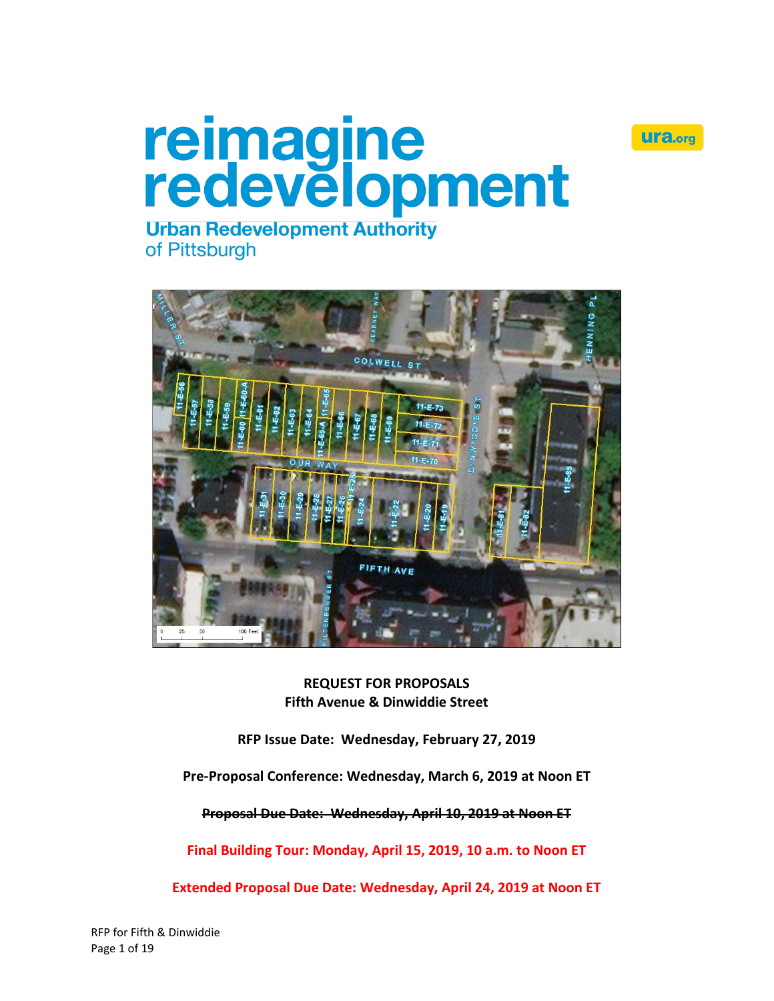

# reimagine<br>redevelopment

**Urban Redevelopment Authority** of Pittsburgh



**REQUEST FOR PROPOSALS Fifth Avenue & Dinwiddie Street**

**RFP Issue Date: Wednesday, February 27, 2019**

**Pre-Proposal Conference: Wednesday, March 6, 2019 at Noon ET**

**Proposal Due Date: Wednesday, April 10, 2019 at Noon ET**

**Final Building Tour: Monday, April 15, 2019, 10 a.m. to Noon ET**

**Extended Proposal Due Date: Wednesday, April 24, 2019 at Noon ET**

RFP for Fifth & Dinwiddie Page 1 of 19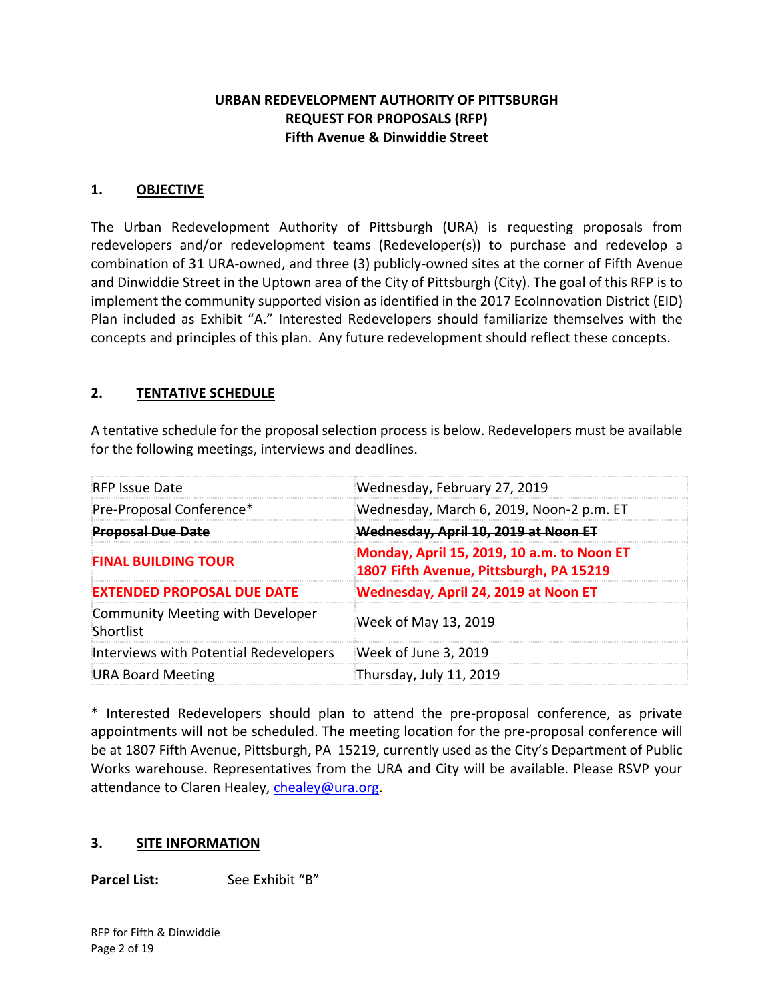## **URBAN REDEVELOPMENT AUTHORITY OF PITTSBURGH REQUEST FOR PROPOSALS (RFP) Fifth Avenue & Dinwiddie Street**

#### **1. OBJECTIVE**

The Urban Redevelopment Authority of Pittsburgh (URA) is requesting proposals from redevelopers and/or redevelopment teams (Redeveloper(s)) to purchase and redevelop a combination of 31 URA-owned, and three (3) publicly-owned sites at the corner of Fifth Avenue and Dinwiddie Street in the Uptown area of the City of Pittsburgh (City). The goal of this RFP is to implement the community supported vision as identified in the 2017 EcoInnovation District (EID) Plan included as Exhibit "A." Interested Redevelopers should familiarize themselves with the concepts and principles of this plan. Any future redevelopment should reflect these concepts.

## **2. TENTATIVE SCHEDULE**

A tentative schedule for the proposal selection process is below. Redevelopers must be available for the following meetings, interviews and deadlines.

| <b>RFP Issue Date</b>                         | Wednesday, February 27, 2019                                                          |  |  |
|-----------------------------------------------|---------------------------------------------------------------------------------------|--|--|
| Pre-Proposal Conference*                      | Wednesday, March 6, 2019, Noon-2 p.m. ET                                              |  |  |
| <b>Proposal Due Date</b>                      | <del>Wednesday, April 10, 2019 at Noon ET</del>                                       |  |  |
| <b>FINAL BUILDING TOUR</b>                    | Monday, April 15, 2019, 10 a.m. to Noon ET<br>1807 Fifth Avenue, Pittsburgh, PA 15219 |  |  |
| <b>EXTENDED PROPOSAL DUE DATE</b>             | Wednesday, April 24, 2019 at Noon ET                                                  |  |  |
| Community Meeting with Developer<br>Shortlist | Week of May 13, 2019                                                                  |  |  |
| Interviews with Potential Redevelopers        | Week of June 3, 2019                                                                  |  |  |
| URA Board Meeting                             | Thursday, July 11, 2019                                                               |  |  |

\* Interested Redevelopers should plan to attend the pre-proposal conference, as private appointments will not be scheduled. The meeting location for the pre-proposal conference will be at 1807 Fifth Avenue, Pittsburgh, PA 15219, currently used as the City's Department of Public Works warehouse. Representatives from the URA and City will be available. Please RSVP your attendance to Claren Healey, [chealey@ura.org.](mailto:chealey@ura.org)

## **3. SITE INFORMATION**

**Parcel List:** See Exhibit "B"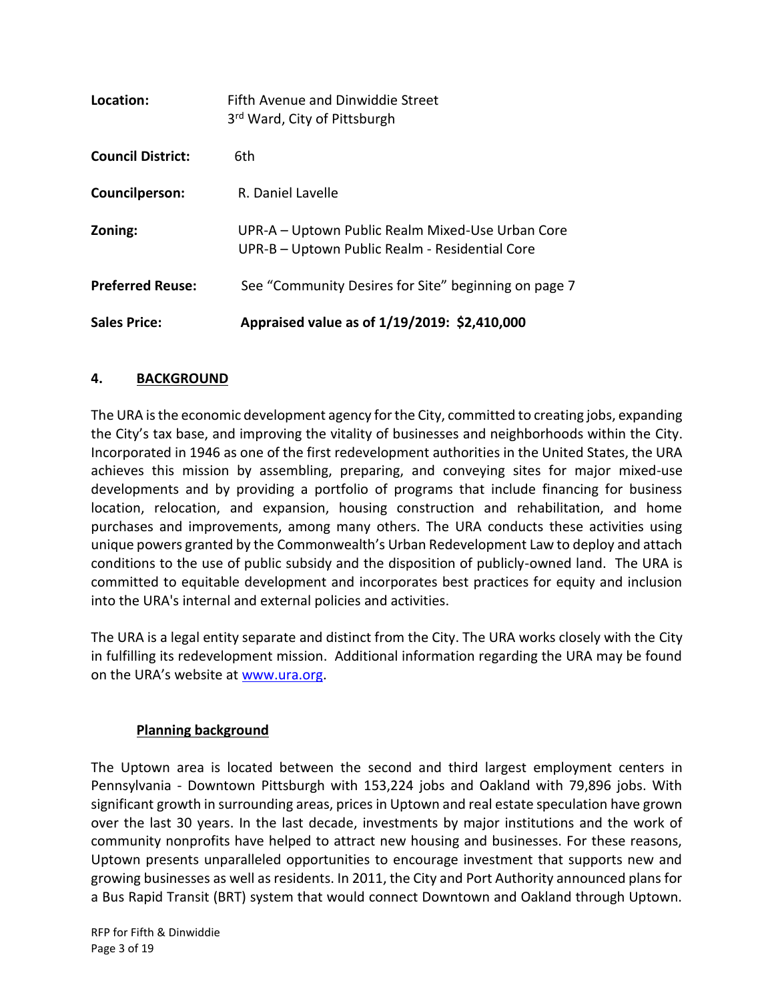| <b>Sales Price:</b>      | Appraised value as of 1/19/2019: \$2,410,000                                                       |
|--------------------------|----------------------------------------------------------------------------------------------------|
| <b>Preferred Reuse:</b>  | See "Community Desires for Site" beginning on page 7                                               |
| Zoning:                  | UPR-A – Uptown Public Realm Mixed-Use Urban Core<br>UPR-B - Uptown Public Realm - Residential Core |
| Councilperson:           | R. Daniel Lavelle                                                                                  |
| <b>Council District:</b> | 6th                                                                                                |
| Location:                | Fifth Avenue and Dinwiddie Street<br>3 <sup>rd</sup> Ward, City of Pittsburgh                      |

## **4. BACKGROUND**

The URA is the economic development agency for the City, committed to creating jobs, expanding the City's tax base, and improving the vitality of businesses and neighborhoods within the City. Incorporated in 1946 as one of the first redevelopment authorities in the United States, the URA achieves this mission by assembling, preparing, and conveying sites for major mixed-use developments and by providing a portfolio of programs that include financing for business location, relocation, and expansion, housing construction and rehabilitation, and home purchases and improvements, among many others. The URA conducts these activities using unique powers granted by the Commonwealth's Urban Redevelopment Law to deploy and attach conditions to the use of public subsidy and the disposition of publicly-owned land. The URA is committed to equitable development and incorporates best practices for equity and inclusion into the URA's internal and external policies and activities.

The URA is a legal entity separate and distinct from the City. The URA works closely with the City in fulfilling its redevelopment mission. Additional information regarding the URA may be found on the URA's website at [www.ura.org.](https://www.ura.org/)

## **Planning background**

The Uptown area is located between the second and third largest employment centers in Pennsylvania - Downtown Pittsburgh with 153,224 jobs and Oakland with 79,896 jobs. With significant growth in surrounding areas, prices in Uptown and real estate speculation have grown over the last 30 years. In the last decade, investments by major institutions and the work of community nonprofits have helped to attract new housing and businesses. For these reasons, Uptown presents unparalleled opportunities to encourage investment that supports new and growing businesses as well as residents. In 2011, the City and Port Authority announced plans for a Bus Rapid Transit (BRT) system that would connect Downtown and Oakland through Uptown.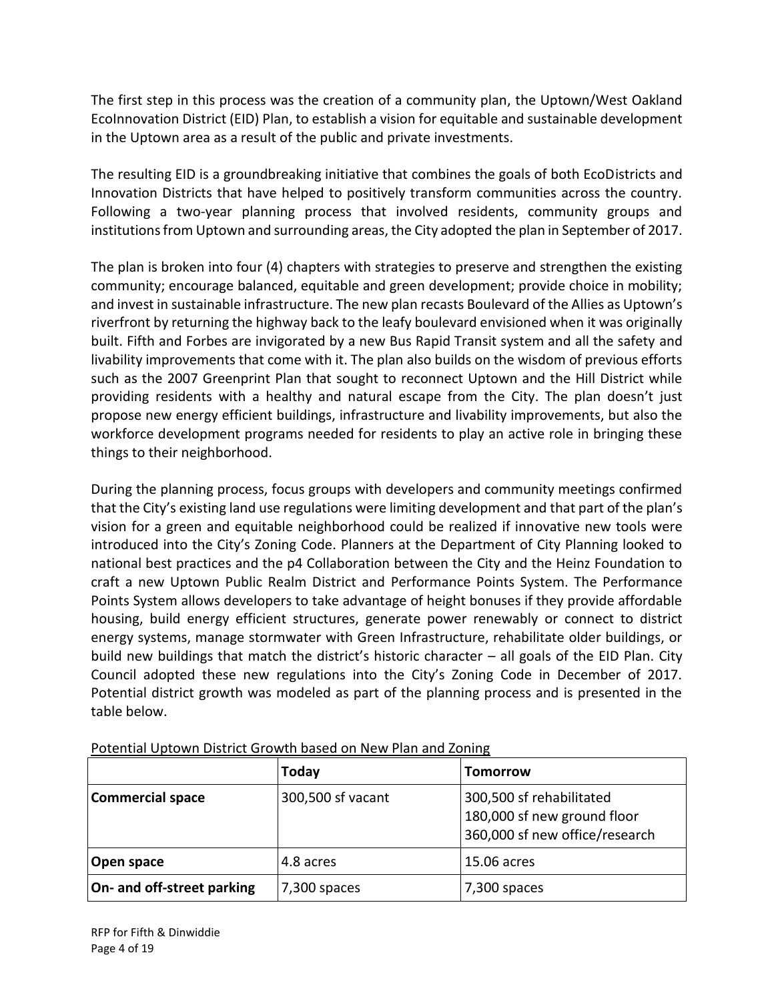The first step in this process was the creation of a community plan, the Uptown/West Oakland EcoInnovation District (EID) Plan, to establish a vision for equitable and sustainable development in the Uptown area as a result of the public and private investments.

The resulting EID is a groundbreaking initiative that combines the goals of both EcoDistricts and Innovation Districts that have helped to positively transform communities across the country. Following a two-year planning process that involved residents, community groups and institutions from Uptown and surrounding areas, the City adopted the plan in September of 2017.

The plan is broken into four (4) chapters with strategies to preserve and strengthen the existing community; encourage balanced, equitable and green development; provide choice in mobility; and invest in sustainable infrastructure. The new plan recasts Boulevard of the Allies as Uptown's riverfront by returning the highway back to the leafy boulevard envisioned when it was originally built. Fifth and Forbes are invigorated by a new Bus Rapid Transit system and all the safety and livability improvements that come with it. The plan also builds on the wisdom of previous efforts such as the 2007 Greenprint Plan that sought to reconnect Uptown and the Hill District while providing residents with a healthy and natural escape from the City. The plan doesn't just propose new energy efficient buildings, infrastructure and livability improvements, but also the workforce development programs needed for residents to play an active role in bringing these things to their neighborhood.

During the planning process, focus groups with developers and community meetings confirmed that the City's existing land use regulations were limiting development and that part of the plan's vision for a green and equitable neighborhood could be realized if innovative new tools were introduced into the City's Zoning Code. Planners at the Department of City Planning looked to national best practices and the p4 Collaboration between the City and the Heinz Foundation to craft a new Uptown Public Realm District and Performance Points System. The Performance Points System allows developers to take advantage of height bonuses if they provide affordable housing, build energy efficient structures, generate power renewably or connect to district energy systems, manage stormwater with Green Infrastructure, rehabilitate older buildings, or build new buildings that match the district's historic character  $-$  all goals of the EID Plan. City Council adopted these new regulations into the City's Zoning Code in December of 2017. Potential district growth was modeled as part of the planning process and is presented in the table below.

|                            | Today             | <b>Tomorrow</b>                                                                           |
|----------------------------|-------------------|-------------------------------------------------------------------------------------------|
| <b>Commercial space</b>    | 300,500 sf vacant | 300,500 sf rehabilitated<br>180,000 sf new ground floor<br>360,000 sf new office/research |
| Open space                 | 4.8 acres         | 15.06 acres                                                                               |
| On- and off-street parking | $7,300$ spaces    | 7,300 spaces                                                                              |

Potential Uptown District Growth based on New Plan and Zoning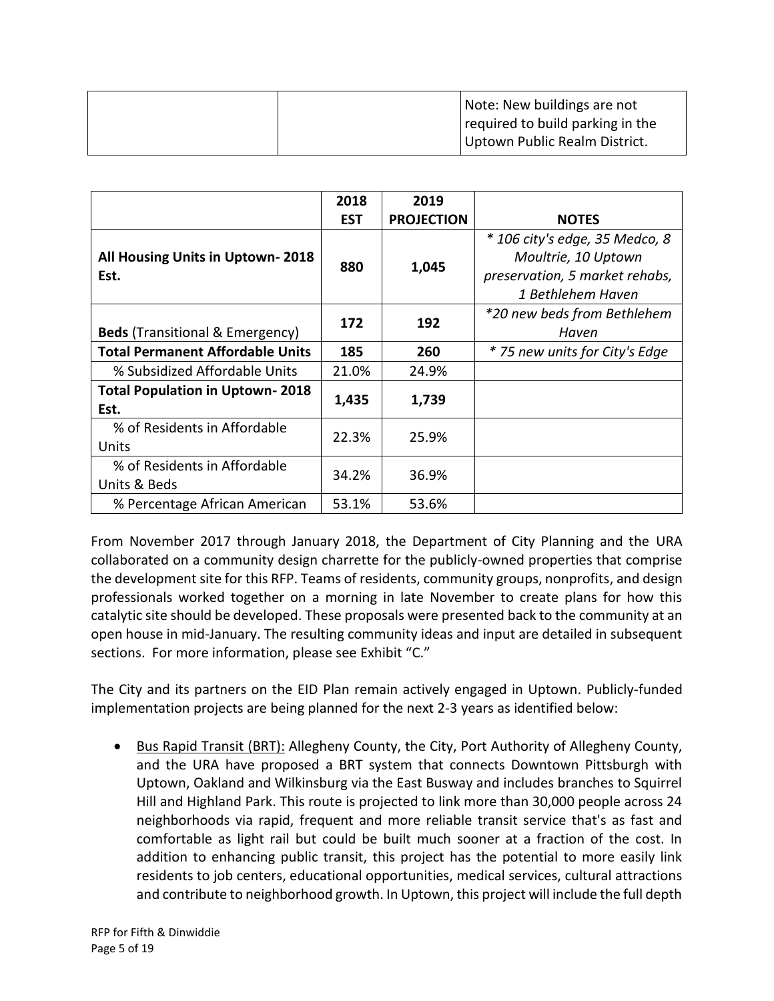| Note: New buildings are not      |
|----------------------------------|
| required to build parking in the |
| Uptown Public Realm District.    |

|                                                | 2018<br><b>EST</b> | 2019<br><b>PROJECTION</b> | <b>NOTES</b>                                                                                                 |
|------------------------------------------------|--------------------|---------------------------|--------------------------------------------------------------------------------------------------------------|
| All Housing Units in Uptown-2018<br>Est.       | 880                | 1,045                     | * 106 city's edge, 35 Medco, 8<br>Moultrie, 10 Uptown<br>preservation, 5 market rehabs,<br>1 Bethlehem Haven |
| <b>Beds</b> (Transitional & Emergency)         | 172                | 192                       | *20 new beds from Bethlehem<br>Haven                                                                         |
| <b>Total Permanent Affordable Units</b>        | 185                | 260                       | * 75 new units for City's Edge                                                                               |
| % Subsidized Affordable Units                  | 21.0%              | 24.9%                     |                                                                                                              |
| <b>Total Population in Uptown-2018</b><br>Est. | 1,435              | 1,739                     |                                                                                                              |
| % of Residents in Affordable<br>Units          | 22.3%              | 25.9%                     |                                                                                                              |
| % of Residents in Affordable<br>Units & Beds   | 34.2%              | 36.9%                     |                                                                                                              |
| % Percentage African American                  | 53.1%              | 53.6%                     |                                                                                                              |

From November 2017 through January 2018, the Department of City Planning and the URA collaborated on a community design charrette for the publicly-owned properties that comprise the development site for this RFP. Teams of residents, community groups, nonprofits, and design professionals worked together on a morning in late November to create plans for how this catalytic site should be developed. These proposals were presented back to the community at an open house in mid-January. The resulting community ideas and input are detailed in subsequent sections. For more information, please see Exhibit "C."

The City and its partners on the EID Plan remain actively engaged in Uptown. Publicly-funded implementation projects are being planned for the next 2-3 years as identified below:

• Bus Rapid Transit (BRT): Allegheny County, the City, Port Authority of Allegheny County, and the URA have proposed a BRT system that connects Downtown Pittsburgh with Uptown, Oakland and Wilkinsburg via the East Busway and includes branches to Squirrel Hill and Highland Park. This route is projected to link more than 30,000 people across 24 neighborhoods via rapid, frequent and more reliable transit service that's as fast and comfortable as light rail but could be built much sooner at a fraction of the cost. In addition to enhancing public transit, this project has the potential to more easily link residents to job centers, educational opportunities, medical services, cultural attractions and contribute to neighborhood growth. In Uptown, this project will include the full depth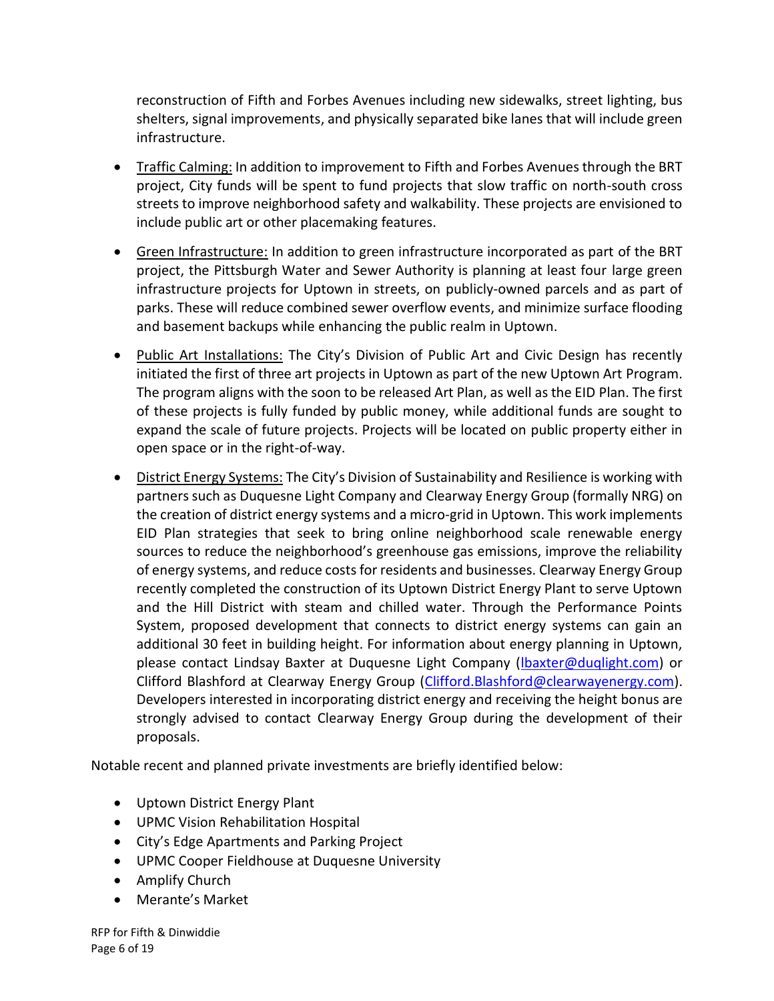reconstruction of Fifth and Forbes Avenues including new sidewalks, street lighting, bus shelters, signal improvements, and physically separated bike lanes that will include green infrastructure.

- Traffic Calming: In addition to improvement to Fifth and Forbes Avenues through the BRT project, City funds will be spent to fund projects that slow traffic on north-south cross streets to improve neighborhood safety and walkability. These projects are envisioned to include public art or other placemaking features.
- Green Infrastructure: In addition to green infrastructure incorporated as part of the BRT project, the Pittsburgh Water and Sewer Authority is planning at least four large green infrastructure projects for Uptown in streets, on publicly-owned parcels and as part of parks. These will reduce combined sewer overflow events, and minimize surface flooding and basement backups while enhancing the public realm in Uptown.
- Public Art Installations: The City's Division of Public Art and Civic Design has recently initiated the first of three art projects in Uptown as part of the new Uptown Art Program. The program aligns with the soon to be released Art Plan, as well as the EID Plan. The first of these projects is fully funded by public money, while additional funds are sought to expand the scale of future projects. Projects will be located on public property either in open space or in the right-of-way.
- District Energy Systems: The City's Division of Sustainability and Resilience is working with partners such as Duquesne Light Company and Clearway Energy Group (formally NRG) on the creation of district energy systems and a micro-grid in Uptown. This work implements EID Plan strategies that seek to bring online neighborhood scale renewable energy sources to reduce the neighborhood's greenhouse gas emissions, improve the reliability of energy systems, and reduce costs for residents and businesses. Clearway Energy Group recently completed the construction of its Uptown District Energy Plant to serve Uptown and the Hill District with steam and chilled water. Through the Performance Points System, proposed development that connects to district energy systems can gain an additional 30 feet in building height. For information about energy planning in Uptown, please contact Lindsay Baxter at Duquesne Light Company [\(lbaxter@duqlight.com\)](mailto:lbaxter@duqlight.com) or Clifford Blashford at Clearway Energy Group [\(Clifford.Blashford@clearwayenergy.com\)](mailto:Clifford.Blashford@clearwayenergy.com). Developers interested in incorporating district energy and receiving the height bonus are strongly advised to contact Clearway Energy Group during the development of their proposals.

Notable recent and planned private investments are briefly identified below:

- Uptown District Energy Plant
- UPMC Vision Rehabilitation Hospital
- City's Edge Apartments and Parking Project
- UPMC Cooper Fieldhouse at Duquesne University
- Amplify Church
- Merante's Market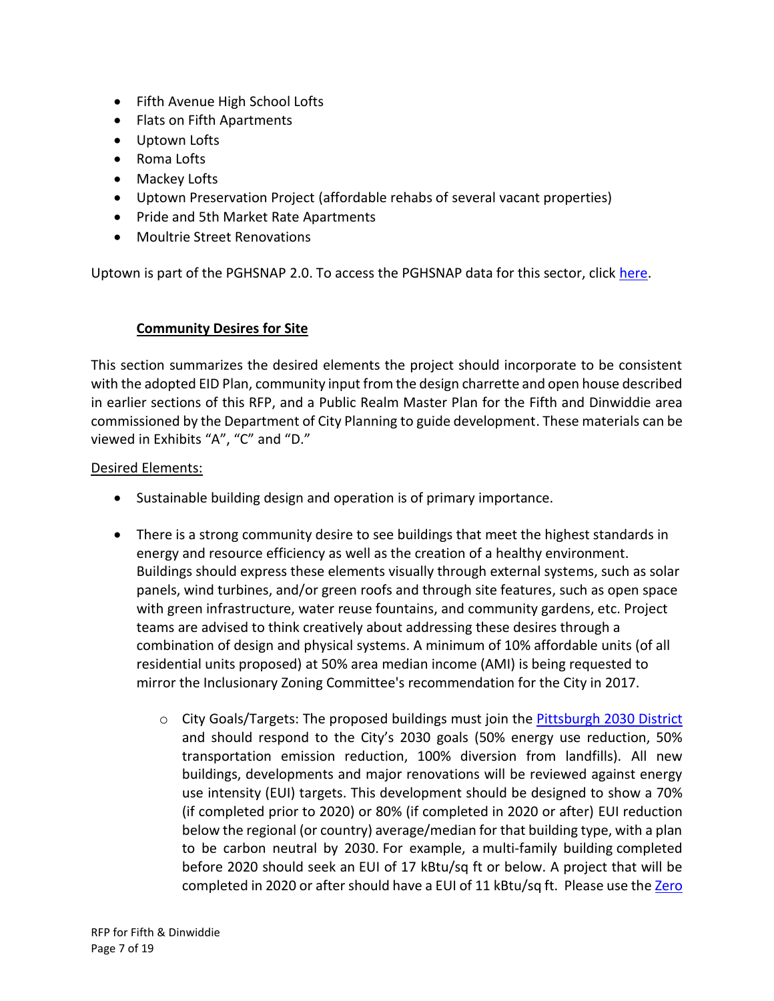- Fifth Avenue High School Lofts
- Flats on Fifth Apartments
- Uptown Lofts
- Roma Lofts
- Mackey Lofts
- Uptown Preservation Project (affordable rehabs of several vacant properties)
- Pride and 5th Market Rate Apartments
- Moultrie Street Renovations

Uptown is part of the PGHSNAP 2.0. To access the PGHSNAP data for this sector, click [here.](http://apps.pittsburghpa.gov/dcp/PGHSNAP_v2.02.pdf)

## **Community Desires for Site**

This section summarizes the desired elements the project should incorporate to be consistent with the adopted EID Plan, community input from the design charrette and open house described in earlier sections of this RFP, and a Public Realm Master Plan for the Fifth and Dinwiddie area commissioned by the Department of City Planning to guide development. These materials can be viewed in Exhibits "A", "C" and "D."

## Desired Elements:

- Sustainable building design and operation is of primary importance.
- There is a strong community desire to see buildings that meet the highest standards in energy and resource efficiency as well as the creation of a healthy environment. Buildings should express these elements visually through external systems, such as solar panels, wind turbines, and/or green roofs and through site features, such as open space with green infrastructure, water reuse fountains, and community gardens, etc. Project teams are advised to think creatively about addressing these desires through a combination of design and physical systems. A minimum of 10% affordable units (of all residential units proposed) at 50% area median income (AMI) is being requested to mirror the Inclusionary Zoning Committee's recommendation for the City in 2017.
	- o City Goals/Targets: The proposed buildings must join the [Pittsburgh 2030 District](https://www.go-gba.org/initiatives/pittsburgh-2030-district/) and should respond to the City's 2030 goals (50% energy use reduction, 50% transportation emission reduction, 100% diversion from landfills). All new buildings, developments and major renovations will be reviewed against energy use intensity (EUI) targets. This development should be designed to show a 70% (if completed prior to 2020) or 80% (if completed in 2020 or after) EUI reduction below the regional (or country) average/median for that building type, with a plan to be carbon neutral by 2030. For example, a multi-family building completed before 2020 should seek an EUI of 17 kBtu/sq ft or below. A project that will be completed in 2020 or after should have a EUI of 11 kBtu/sq ft. Please use the Zero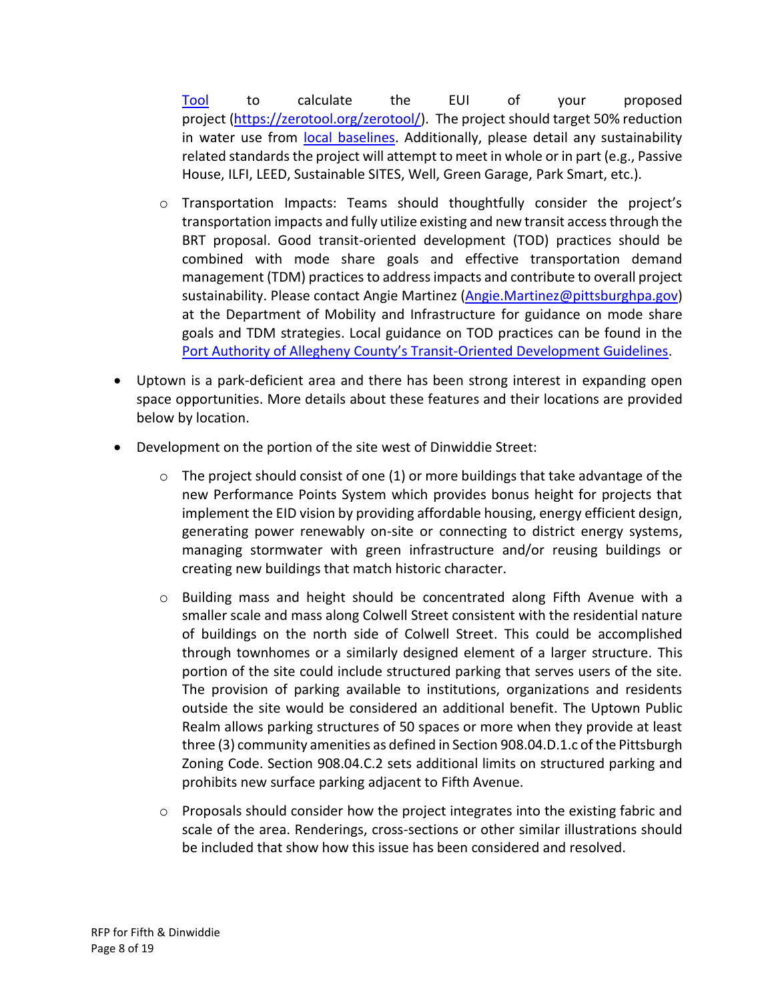[Tool](https://zerotool.org/zerotool/) to calculate the EUI of your proposed project [\(https://zerotool.org/zerotool/\)](https://zerotool.org/zerotool/). The project should target 50% reduction in water use from [local baselines.](https://www.go-gba.org/pittsburgh-2030-district-releases-water-baseline-report/) Additionally, please detail any sustainability related standards the project will attempt to meet in whole or in part (e.g., Passive House, ILFI, LEED, Sustainable SITES, Well, Green Garage, Park Smart, etc.).

- o Transportation Impacts: Teams should thoughtfully consider the project's transportation impacts and fully utilize existing and new transit access through the BRT proposal. Good transit-oriented development (TOD) practices should be combined with mode share goals and effective transportation demand management (TDM) practices to address impacts and contribute to overall project sustainability. Please contact Angie Martinez [\(Angie.Martinez@pittsburghpa.gov\)](mailto:Angie.Martinez@pittsburghpa.gov) at the Department of Mobility and Infrastructure for guidance on mode share goals and TDM strategies. Local guidance on TOD practices can be found in the [Port Authority of Allegheny County's Transit](https://www.portauthority.org/paac/CompanyInfoProjects/TransitOrientedDevelopment(TOD).aspx)-Oriented Development Guidelines.
- Uptown is a park-deficient area and there has been strong interest in expanding open space opportunities. More details about these features and their locations are provided below by location.
- Development on the portion of the site west of Dinwiddie Street:
	- $\circ$  The project should consist of one (1) or more buildings that take advantage of the new Performance Points System which provides bonus height for projects that implement the EID vision by providing affordable housing, energy efficient design, generating power renewably on-site or connecting to district energy systems, managing stormwater with green infrastructure and/or reusing buildings or creating new buildings that match historic character.
	- o Building mass and height should be concentrated along Fifth Avenue with a smaller scale and mass along Colwell Street consistent with the residential nature of buildings on the north side of Colwell Street. This could be accomplished through townhomes or a similarly designed element of a larger structure. This portion of the site could include structured parking that serves users of the site. The provision of parking available to institutions, organizations and residents outside the site would be considered an additional benefit. The Uptown Public Realm allows parking structures of 50 spaces or more when they provide at least three (3) community amenities as defined in Section 908.04.D.1.c of the Pittsburgh Zoning Code. Section 908.04.C.2 sets additional limits on structured parking and prohibits new surface parking adjacent to Fifth Avenue.
	- $\circ$  Proposals should consider how the project integrates into the existing fabric and scale of the area. Renderings, cross-sections or other similar illustrations should be included that show how this issue has been considered and resolved.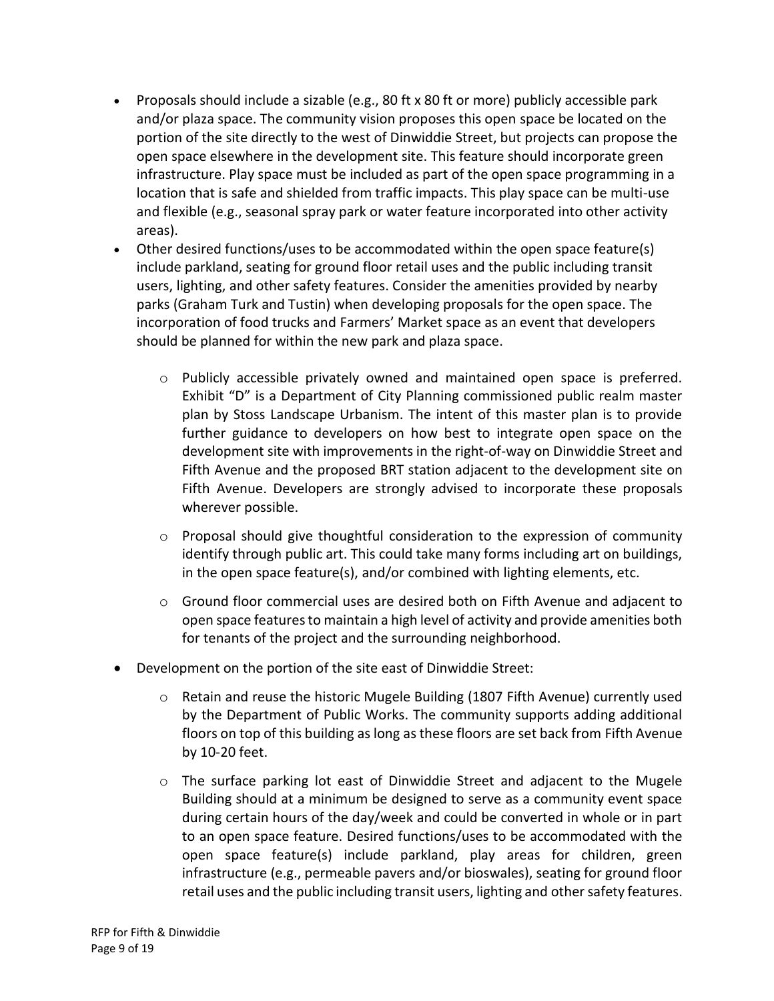- Proposals should include a sizable (e.g., 80 ft x 80 ft or more) publicly accessible park and/or plaza space. The community vision proposes this open space be located on the portion of the site directly to the west of Dinwiddie Street, but projects can propose the open space elsewhere in the development site. This feature should incorporate green infrastructure. Play space must be included as part of the open space programming in a location that is safe and shielded from traffic impacts. This play space can be multi-use and flexible (e.g., seasonal spray park or water feature incorporated into other activity areas).
- Other desired functions/uses to be accommodated within the open space feature(s) include parkland, seating for ground floor retail uses and the public including transit users, lighting, and other safety features. Consider the amenities provided by nearby parks (Graham Turk and Tustin) when developing proposals for the open space. The incorporation of food trucks and Farmers' Market space as an event that developers should be planned for within the new park and plaza space.
	- o Publicly accessible privately owned and maintained open space is preferred. Exhibit "D" is a Department of City Planning commissioned public realm master plan by Stoss Landscape Urbanism. The intent of this master plan is to provide further guidance to developers on how best to integrate open space on the development site with improvements in the right-of-way on Dinwiddie Street and Fifth Avenue and the proposed BRT station adjacent to the development site on Fifth Avenue. Developers are strongly advised to incorporate these proposals wherever possible.
	- $\circ$  Proposal should give thoughtful consideration to the expression of community identify through public art. This could take many forms including art on buildings, in the open space feature(s), and/or combined with lighting elements, etc.
	- $\circ$  Ground floor commercial uses are desired both on Fifth Avenue and adjacent to open space features to maintain a high level of activity and provide amenities both for tenants of the project and the surrounding neighborhood.
- Development on the portion of the site east of Dinwiddie Street:
	- $\circ$  Retain and reuse the historic Mugele Building (1807 Fifth Avenue) currently used by the Department of Public Works. The community supports adding additional floors on top of this building as long as these floors are set back from Fifth Avenue by 10-20 feet.
	- $\circ$  The surface parking lot east of Dinwiddie Street and adjacent to the Mugele Building should at a minimum be designed to serve as a community event space during certain hours of the day/week and could be converted in whole or in part to an open space feature. Desired functions/uses to be accommodated with the open space feature(s) include parkland, play areas for children, green infrastructure (e.g., permeable pavers and/or bioswales), seating for ground floor retail uses and the public including transit users, lighting and other safety features.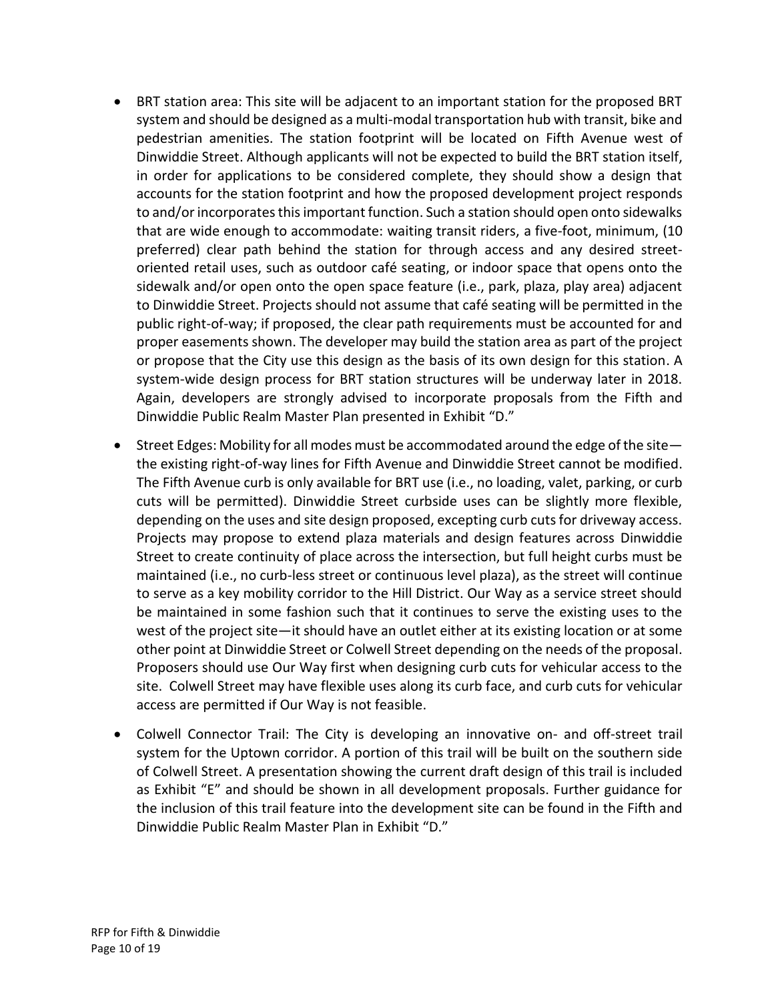- BRT station area: This site will be adjacent to an important station for the proposed BRT system and should be designed as a multi-modal transportation hub with transit, bike and pedestrian amenities. The station footprint will be located on Fifth Avenue west of Dinwiddie Street. Although applicants will not be expected to build the BRT station itself, in order for applications to be considered complete, they should show a design that accounts for the station footprint and how the proposed development project responds to and/or incorporates this important function. Such a station should open onto sidewalks that are wide enough to accommodate: waiting transit riders, a five-foot, minimum, (10 preferred) clear path behind the station for through access and any desired streetoriented retail uses, such as outdoor café seating, or indoor space that opens onto the sidewalk and/or open onto the open space feature (i.e., park, plaza, play area) adjacent to Dinwiddie Street. Projects should not assume that café seating will be permitted in the public right-of-way; if proposed, the clear path requirements must be accounted for and proper easements shown. The developer may build the station area as part of the project or propose that the City use this design as the basis of its own design for this station. A system-wide design process for BRT station structures will be underway later in 2018. Again, developers are strongly advised to incorporate proposals from the Fifth and Dinwiddie Public Realm Master Plan presented in Exhibit "D."
- Street Edges: Mobility for all modes must be accommodated around the edge of the site the existing right-of-way lines for Fifth Avenue and Dinwiddie Street cannot be modified. The Fifth Avenue curb is only available for BRT use (i.e., no loading, valet, parking, or curb cuts will be permitted). Dinwiddie Street curbside uses can be slightly more flexible, depending on the uses and site design proposed, excepting curb cuts for driveway access. Projects may propose to extend plaza materials and design features across Dinwiddie Street to create continuity of place across the intersection, but full height curbs must be maintained (i.e., no curb-less street or continuous level plaza), as the street will continue to serve as a key mobility corridor to the Hill District. Our Way as a service street should be maintained in some fashion such that it continues to serve the existing uses to the west of the project site—it should have an outlet either at its existing location or at some other point at Dinwiddie Street or Colwell Street depending on the needs of the proposal. Proposers should use Our Way first when designing curb cuts for vehicular access to the site. Colwell Street may have flexible uses along its curb face, and curb cuts for vehicular access are permitted if Our Way is not feasible.
- Colwell Connector Trail: The City is developing an innovative on- and off-street trail system for the Uptown corridor. A portion of this trail will be built on the southern side of Colwell Street. A presentation showing the current draft design of this trail is included as Exhibit "E" and should be shown in all development proposals. Further guidance for the inclusion of this trail feature into the development site can be found in the Fifth and Dinwiddie Public Realm Master Plan in Exhibit "D."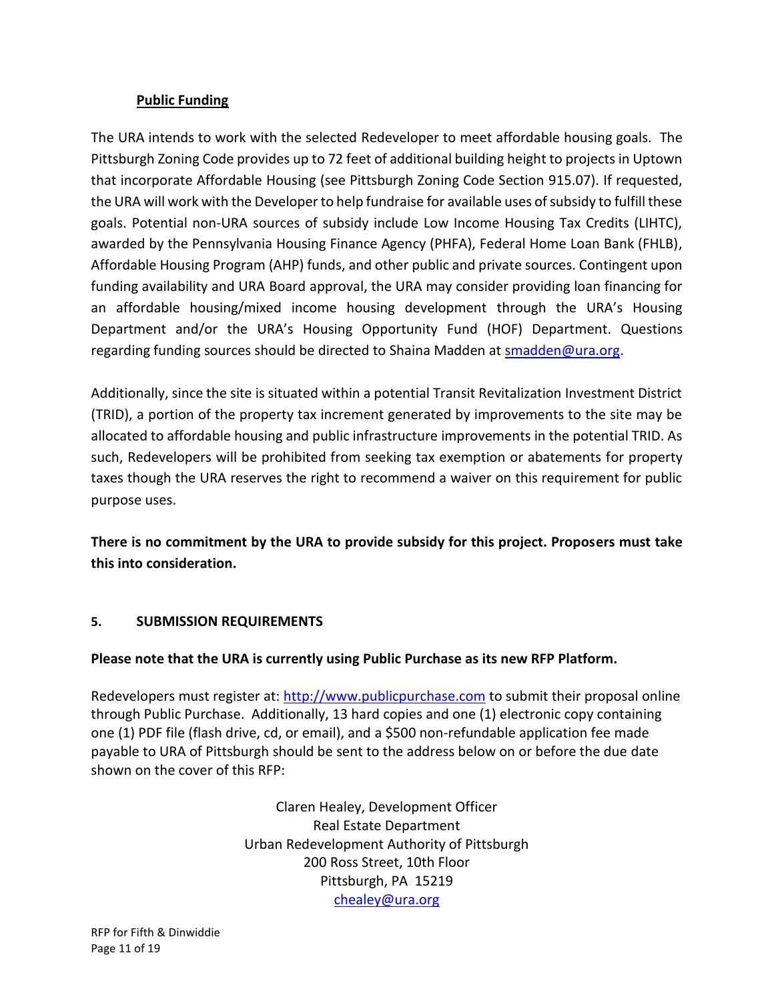## **Public Funding**

The URA intends to work with the selected Redeveloper to meet affordable housing goals. The Pittsburgh Zoning Code provides up to 72 feet of additional building height to projects in Uptown that incorporate Affordable Housing (see Pittsburgh Zoning Code Section 915.07). If requested, the URA will work with the Developer to help fundraise for available uses of subsidy to fulfill these goals. Potential non-URA sources of subsidy include Low Income Housing Tax Credits (LIHTC), awarded by the Pennsylvania Housing Finance Agency (PHFA), Federal Home Loan Bank (FHLB), Affordable Housing Program (AHP) funds, and other public and private sources. Contingent upon funding availability and URA Board approval, the URA may consider providing loan financing for an affordable housing/mixed income housing development through the URA's Housing Department and/or the URA's Housing Opportunity Fund (HOF) Department. Questions regarding funding sources should be directed to Shaina Madden at [smadden@ura.org.](mailto:smadden@ura.org)

Additionally, since the site is situated within a potential Transit Revitalization Investment District (TRID), a portion of the property tax increment generated by improvements to the site may be allocated to affordable housing and public infrastructure improvements in the potential TRID. As such, Redevelopers will be prohibited from seeking tax exemption or abatements for property taxes though the URA reserves the right to recommend a waiver on this requirement for public purpose uses.

**There is no commitment by the URA to provide subsidy for this project. Proposers must take this into consideration.** 

## **5. SUBMISSION REQUIREMENTS**

## **Please note that the URA is currently using Public Purchase as its new RFP Platform.**

Redevelopers must register at: [http://www.publicpurchase.com](http://www.publicpurchase.com/) to submit their proposal online through Public Purchase. Additionally, 13 hard copies and one (1) electronic copy containing one (1) PDF file (flash drive, cd, or email), and a \$500 non-refundable application fee made payable to URA of Pittsburgh should be sent to the address below on or before the due date shown on the cover of this RFP:

> Claren Healey, Development Officer Real Estate Department Urban Redevelopment Authority of Pittsburgh 200 Ross Street, 10th Floor Pittsburgh, PA 15219 [chealey@ura.org](mailto:chealey@ura.org)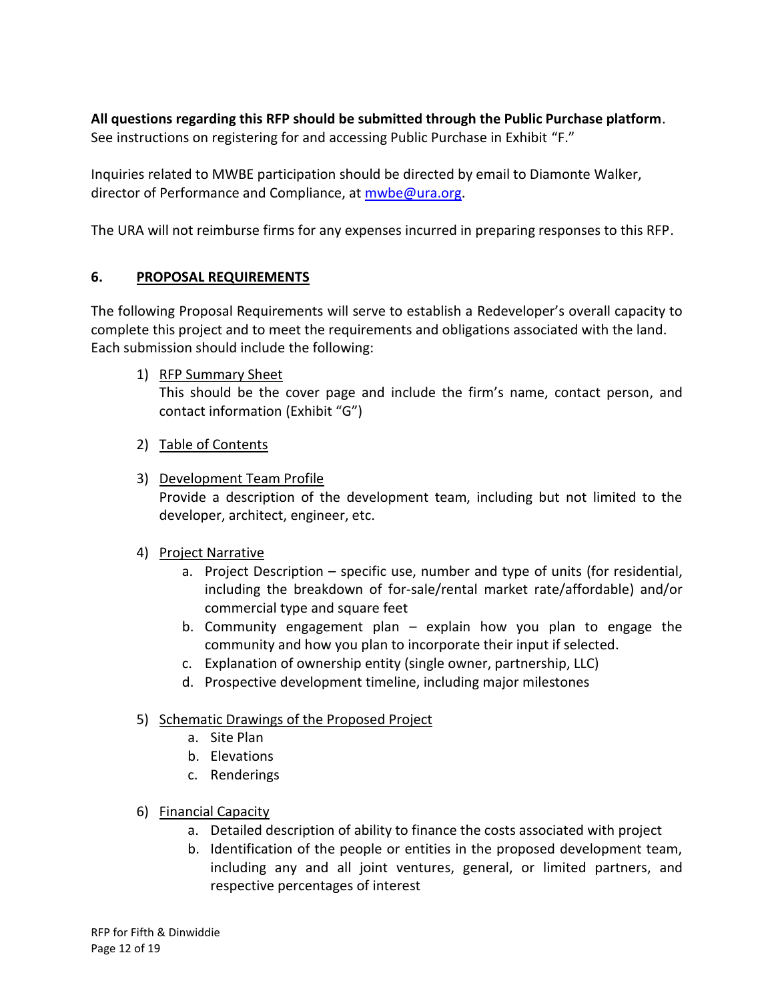**All questions regarding this RFP should be submitted through the Public Purchase platform**. See instructions on registering for and accessing Public Purchase in Exhibit "F."

Inquiries related to MWBE participation should be directed by email to Diamonte Walker, director of Performance and Compliance, at [mwbe@ura.org.](mailto:mwbe@ura.org)

The URA will not reimburse firms for any expenses incurred in preparing responses to this RFP.

## **6. PROPOSAL REQUIREMENTS**

The following Proposal Requirements will serve to establish a Redeveloper's overall capacity to complete this project and to meet the requirements and obligations associated with the land. Each submission should include the following:

1) RFP Summary Sheet

This should be the cover page and include the firm's name, contact person, and contact information (Exhibit "G")

- 2) Table of Contents
- 3) Development Team Profile

Provide a description of the development team, including but not limited to the developer, architect, engineer, etc.

- 4) Project Narrative
	- a. Project Description specific use, number and type of units (for residential, including the breakdown of for-sale/rental market rate/affordable) and/or commercial type and square feet
	- b. Community engagement plan explain how you plan to engage the community and how you plan to incorporate their input if selected.
	- c. Explanation of ownership entity (single owner, partnership, LLC)
	- d. Prospective development timeline, including major milestones

## 5) Schematic Drawings of the Proposed Project

- a. Site Plan
- b. Elevations
- c. Renderings
- 6) Financial Capacity
	- a. Detailed description of ability to finance the costs associated with project
	- b. Identification of the people or entities in the proposed development team, including any and all joint ventures, general, or limited partners, and respective percentages of interest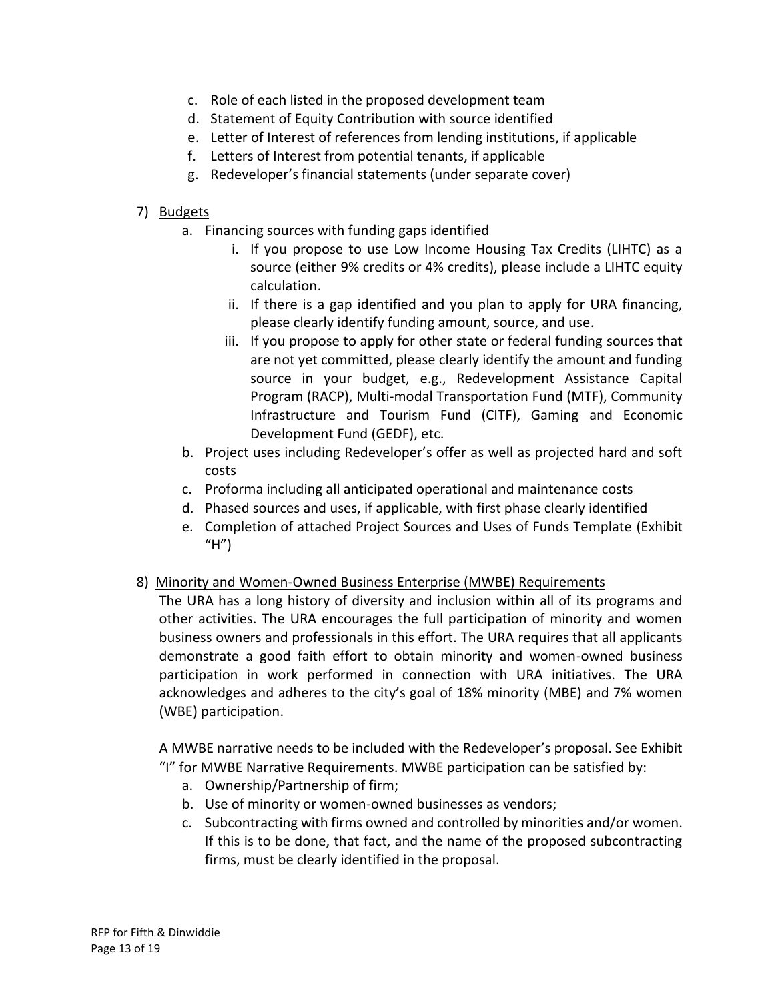- c. Role of each listed in the proposed development team
- d. Statement of Equity Contribution with source identified
- e. Letter of Interest of references from lending institutions, if applicable
- f. Letters of Interest from potential tenants, if applicable
- g. Redeveloper's financial statements (under separate cover)

## 7) Budgets

- a. Financing sources with funding gaps identified
	- i. If you propose to use Low Income Housing Tax Credits (LIHTC) as a source (either 9% credits or 4% credits), please include a LIHTC equity calculation.
	- ii. If there is a gap identified and you plan to apply for URA financing, please clearly identify funding amount, source, and use.
	- iii. If you propose to apply for other state or federal funding sources that are not yet committed, please clearly identify the amount and funding source in your budget, e.g., Redevelopment Assistance Capital Program (RACP), Multi-modal Transportation Fund (MTF), Community Infrastructure and Tourism Fund (CITF), Gaming and Economic Development Fund (GEDF), etc.
- b. Project uses including Redeveloper's offer as well as projected hard and soft costs
- c. Proforma including all anticipated operational and maintenance costs
- d. Phased sources and uses, if applicable, with first phase clearly identified
- e. Completion of attached Project Sources and Uses of Funds Template (Exhibit "H")
- 8) Minority and Women-Owned Business Enterprise (MWBE) Requirements

The URA has a long history of diversity and inclusion within all of its programs and other activities. The URA encourages the full participation of minority and women business owners and professionals in this effort. The URA requires that all applicants demonstrate a good faith effort to obtain minority and women-owned business participation in work performed in connection with URA initiatives. The URA acknowledges and adheres to the city's goal of 18% minority (MBE) and 7% women (WBE) participation.

A MWBE narrative needs to be included with the Redeveloper's proposal. See Exhibit "I" for MWBE Narrative Requirements. MWBE participation can be satisfied by:

- a. Ownership/Partnership of firm;
- b. Use of minority or women-owned businesses as vendors;
- c. Subcontracting with firms owned and controlled by minorities and/or women. If this is to be done, that fact, and the name of the proposed subcontracting firms, must be clearly identified in the proposal.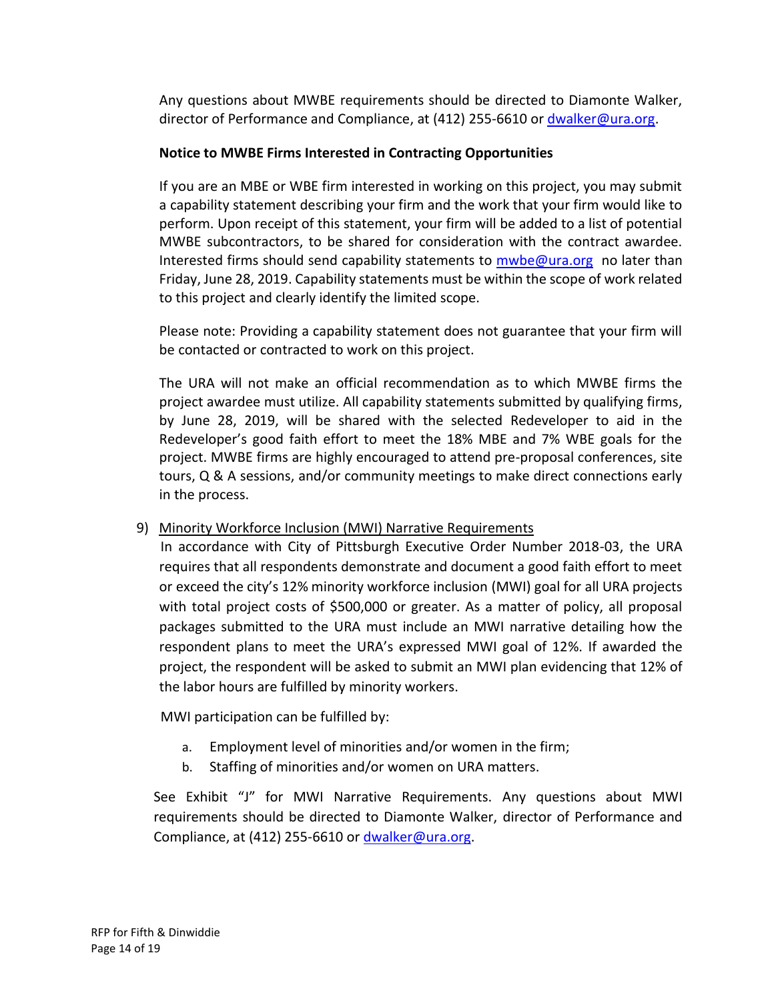Any questions about MWBE requirements should be directed to Diamonte Walker, director of Performance and Compliance, at (412) 255-6610 or [dwalker@ura.org.](mailto:dwalker@ura.org)

## **Notice to MWBE Firms Interested in Contracting Opportunities**

If you are an MBE or WBE firm interested in working on this project, you may submit a capability statement describing your firm and the work that your firm would like to perform. Upon receipt of this statement, your firm will be added to a list of potential MWBE subcontractors, to be shared for consideration with the contract awardee. Interested firms should send capability statements to  $mwbe@ura.org$  no later than Friday, June 28, 2019. Capability statements must be within the scope of work related to this project and clearly identify the limited scope.

Please note: Providing a capability statement does not guarantee that your firm will be contacted or contracted to work on this project.

The URA will not make an official recommendation as to which MWBE firms the project awardee must utilize. All capability statements submitted by qualifying firms, by June 28, 2019, will be shared with the selected Redeveloper to aid in the Redeveloper's good faith effort to meet the 18% MBE and 7% WBE goals for the project. MWBE firms are highly encouraged to attend pre-proposal conferences, site tours, Q & A sessions, and/or community meetings to make direct connections early in the process.

## 9) Minority Workforce Inclusion (MWI) Narrative Requirements

 In accordance with City of Pittsburgh Executive Order Number 2018-03, the URA requires that all respondents demonstrate and document a good faith effort to meet or exceed the city's 12% minority workforce inclusion (MWI) goal for all URA projects with total project costs of \$500,000 or greater. As a matter of policy, all proposal packages submitted to the URA must include an MWI narrative detailing how the respondent plans to meet the URA's expressed MWI goal of 12%. If awarded the project, the respondent will be asked to submit an MWI plan evidencing that 12% of the labor hours are fulfilled by minority workers.

MWI participation can be fulfilled by:

- a. Employment level of minorities and/or women in the firm;
- b. Staffing of minorities and/or women on URA matters.

See Exhibit "J" for MWI Narrative Requirements. Any questions about MWI requirements should be directed to Diamonte Walker, director of Performance and Compliance, at (412) 255-6610 or  $d$ walker@ura.org.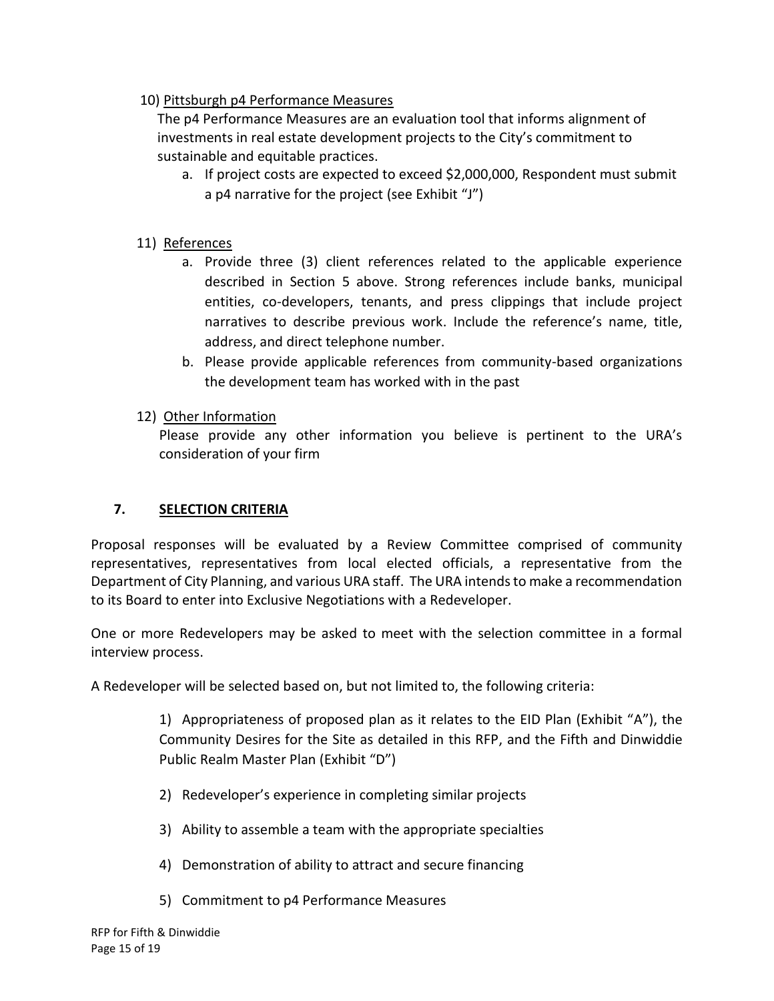## 10) Pittsburgh p4 Performance Measures

The p4 Performance Measures are an evaluation tool that informs alignment of investments in real estate development projects to the City's commitment to sustainable and equitable practices.

a. If project costs are expected to exceed \$2,000,000, Respondent must submit a p4 narrative for the project (see Exhibit "J")

## 11) References

- a. Provide three (3) client references related to the applicable experience described in Section 5 above. Strong references include banks, municipal entities, co-developers, tenants, and press clippings that include project narratives to describe previous work. Include the reference's name, title, address, and direct telephone number.
- b. Please provide applicable references from community-based organizations the development team has worked with in the past
- 12) Other Information

Please provide any other information you believe is pertinent to the URA's consideration of your firm

## **7. SELECTION CRITERIA**

Proposal responses will be evaluated by a Review Committee comprised of community representatives, representatives from local elected officials, a representative from the Department of City Planning, and various URA staff. The URA intends to make a recommendation to its Board to enter into Exclusive Negotiations with a Redeveloper.

One or more Redevelopers may be asked to meet with the selection committee in a formal interview process.

A Redeveloper will be selected based on, but not limited to, the following criteria:

1) Appropriateness of proposed plan as it relates to the EID Plan (Exhibit "A"), the Community Desires for the Site as detailed in this RFP, and the Fifth and Dinwiddie Public Realm Master Plan (Exhibit "D")

- 2) Redeveloper's experience in completing similar projects
- 3) Ability to assemble a team with the appropriate specialties
- 4) Demonstration of ability to attract and secure financing
- 5) Commitment to p4 Performance Measures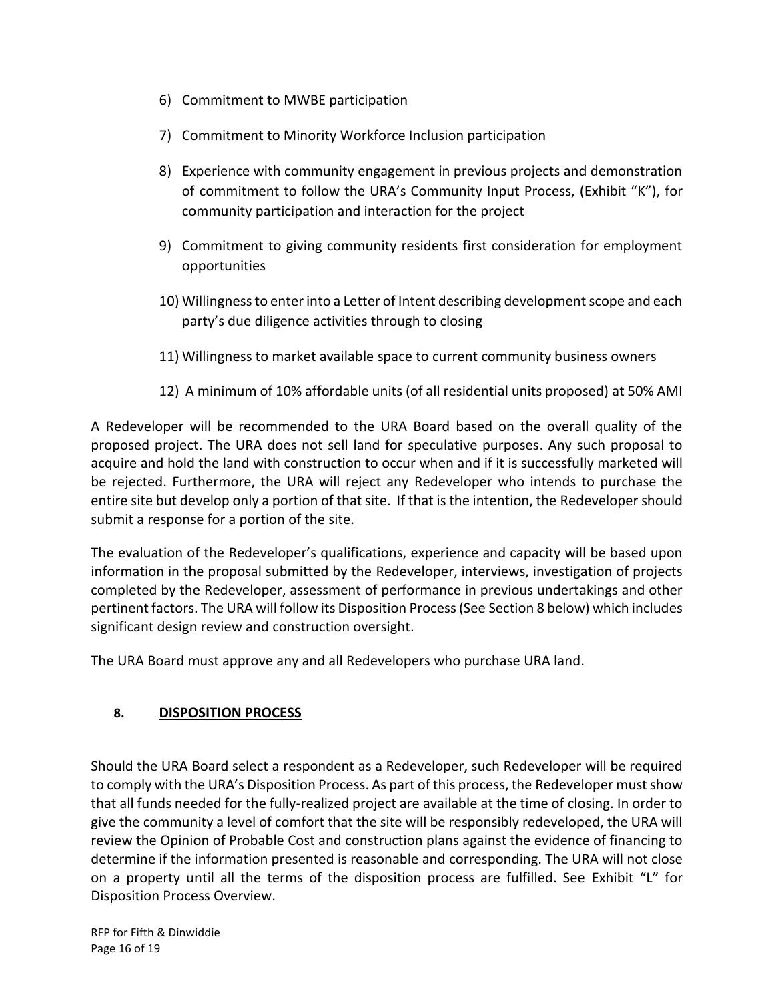- 6) Commitment to MWBE participation
- 7) Commitment to Minority Workforce Inclusion participation
- 8) Experience with community engagement in previous projects and demonstration of commitment to follow the URA's Community Input Process, (Exhibit "K"), for community participation and interaction for the project
- 9) Commitment to giving community residents first consideration for employment opportunities
- 10) Willingness to enter into a Letter of Intent describing development scope and each party's due diligence activities through to closing
- 11) Willingness to market available space to current community business owners
- 12) A minimum of 10% affordable units (of all residential units proposed) at 50% AMI

A Redeveloper will be recommended to the URA Board based on the overall quality of the proposed project. The URA does not sell land for speculative purposes. Any such proposal to acquire and hold the land with construction to occur when and if it is successfully marketed will be rejected. Furthermore, the URA will reject any Redeveloper who intends to purchase the entire site but develop only a portion of that site. If that is the intention, the Redeveloper should submit a response for a portion of the site.

The evaluation of the Redeveloper's qualifications, experience and capacity will be based upon information in the proposal submitted by the Redeveloper, interviews, investigation of projects completed by the Redeveloper, assessment of performance in previous undertakings and other pertinent factors. The URA will follow its Disposition Process (See Section 8 below) which includes significant design review and construction oversight.

The URA Board must approve any and all Redevelopers who purchase URA land.

## **8. DISPOSITION PROCESS**

Should the URA Board select a respondent as a Redeveloper, such Redeveloper will be required to comply with the URA's Disposition Process. As part of this process, the Redeveloper must show that all funds needed for the fully-realized project are available at the time of closing. In order to give the community a level of comfort that the site will be responsibly redeveloped, the URA will review the Opinion of Probable Cost and construction plans against the evidence of financing to determine if the information presented is reasonable and corresponding. The URA will not close on a property until all the terms of the disposition process are fulfilled. See Exhibit "L" for Disposition Process Overview.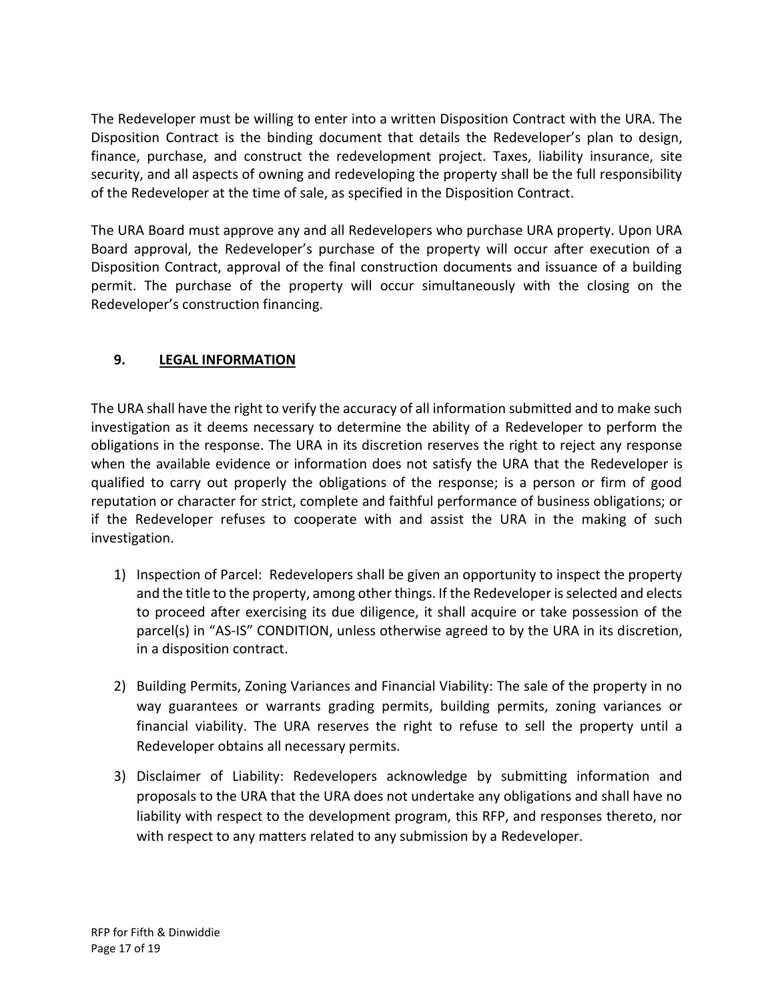The Redeveloper must be willing to enter into a written Disposition Contract with the URA. The Disposition Contract is the binding document that details the Redeveloper's plan to design, finance, purchase, and construct the redevelopment project. Taxes, liability insurance, site security, and all aspects of owning and redeveloping the property shall be the full responsibility of the Redeveloper at the time of sale, as specified in the Disposition Contract.

The URA Board must approve any and all Redevelopers who purchase URA property. Upon URA Board approval, the Redeveloper's purchase of the property will occur after execution of a Disposition Contract, approval of the final construction documents and issuance of a building permit. The purchase of the property will occur simultaneously with the closing on the Redeveloper's construction financing.

# **9. LEGAL INFORMATION**

The URA shall have the right to verify the accuracy of all information submitted and to make such investigation as it deems necessary to determine the ability of a Redeveloper to perform the obligations in the response. The URA in its discretion reserves the right to reject any response when the available evidence or information does not satisfy the URA that the Redeveloper is qualified to carry out properly the obligations of the response; is a person or firm of good reputation or character for strict, complete and faithful performance of business obligations; or if the Redeveloper refuses to cooperate with and assist the URA in the making of such investigation.

- 1) Inspection of Parcel: Redevelopers shall be given an opportunity to inspect the property and the title to the property, among other things. If the Redeveloper is selected and elects to proceed after exercising its due diligence, it shall acquire or take possession of the parcel(s) in "AS-IS" CONDITION, unless otherwise agreed to by the URA in its discretion, in a disposition contract.
- 2) Building Permits, Zoning Variances and Financial Viability: The sale of the property in no way guarantees or warrants grading permits, building permits, zoning variances or financial viability. The URA reserves the right to refuse to sell the property until a Redeveloper obtains all necessary permits.
- 3) Disclaimer of Liability: Redevelopers acknowledge by submitting information and proposals to the URA that the URA does not undertake any obligations and shall have no liability with respect to the development program, this RFP, and responses thereto, nor with respect to any matters related to any submission by a Redeveloper.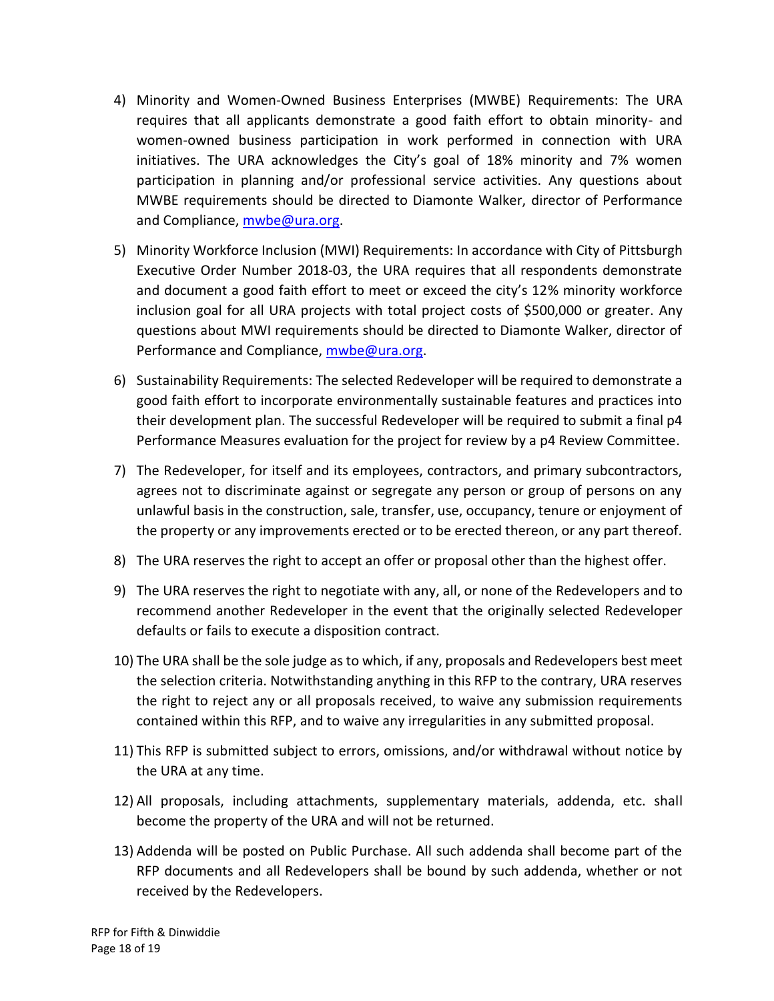- 4) Minority and Women-Owned Business Enterprises (MWBE) Requirements: The URA requires that all applicants demonstrate a good faith effort to obtain minority- and women-owned business participation in work performed in connection with URA initiatives. The URA acknowledges the City's goal of 18% minority and 7% women participation in planning and/or professional service activities. Any questions about MWBE requirements should be directed to Diamonte Walker, director of Performance and Compliance, [mwbe@ura.org.](mailto:mwbe@ura.org)
- 5) Minority Workforce Inclusion (MWI) Requirements: In accordance with City of Pittsburgh Executive Order Number 2018-03, the URA requires that all respondents demonstrate and document a good faith effort to meet or exceed the city's 12% minority workforce inclusion goal for all URA projects with total project costs of \$500,000 or greater. Any questions about MWI requirements should be directed to Diamonte Walker, director of Performance and Compliance, [mwbe@ura.org.](mailto:mwbe@ura.org)
- 6) Sustainability Requirements: The selected Redeveloper will be required to demonstrate a good faith effort to incorporate environmentally sustainable features and practices into their development plan. The successful Redeveloper will be required to submit a final p4 Performance Measures evaluation for the project for review by a p4 Review Committee.
- 7) The Redeveloper, for itself and its employees, contractors, and primary subcontractors, agrees not to discriminate against or segregate any person or group of persons on any unlawful basis in the construction, sale, transfer, use, occupancy, tenure or enjoyment of the property or any improvements erected or to be erected thereon, or any part thereof.
- 8) The URA reserves the right to accept an offer or proposal other than the highest offer.
- 9) The URA reserves the right to negotiate with any, all, or none of the Redevelopers and to recommend another Redeveloper in the event that the originally selected Redeveloper defaults or fails to execute a disposition contract.
- 10) The URA shall be the sole judge as to which, if any, proposals and Redevelopers best meet the selection criteria. Notwithstanding anything in this RFP to the contrary, URA reserves the right to reject any or all proposals received, to waive any submission requirements contained within this RFP, and to waive any irregularities in any submitted proposal.
- 11) This RFP is submitted subject to errors, omissions, and/or withdrawal without notice by the URA at any time.
- 12) All proposals, including attachments, supplementary materials, addenda, etc. shall become the property of the URA and will not be returned.
- 13) Addenda will be posted on Public Purchase. All such addenda shall become part of the RFP documents and all Redevelopers shall be bound by such addenda, whether or not received by the Redevelopers.